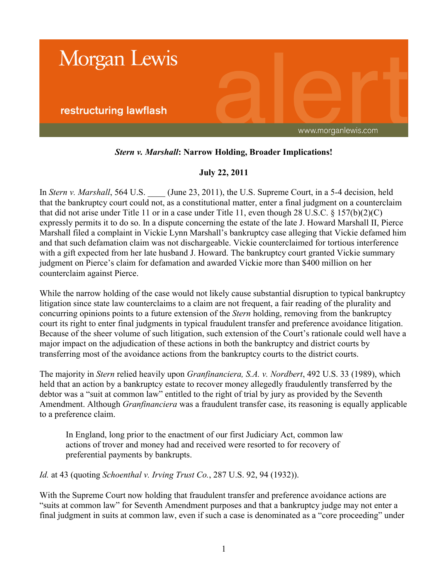

# *Stern v. Marshall***: Narrow Holding, Broader Implications!**

## **July 22, 2011**

In *Stern v. Marshall*, 564 U.S. (June 23, 2011), the U.S. Supreme Court, in a 5-4 decision, held that the bankruptcy court could not, as a constitutional matter, enter a final judgment on a counterclaim that did not arise under Title 11 or in a case under Title 11, even though 28 U.S.C. § 157(b)(2)(C) expressly permits it to do so. In a dispute concerning the estate of the late J. Howard Marshall II, Pierce Marshall filed a complaint in Vickie Lynn Marshall's bankruptcy case alleging that Vickie defamed him and that such defamation claim was not dischargeable. Vickie counterclaimed for tortious interference with a gift expected from her late husband J. Howard. The bankruptcy court granted Vickie summary judgment on Pierce's claim for defamation and awarded Vickie more than \$400 million on her counterclaim against Pierce.

While the narrow holding of the case would not likely cause substantial disruption to typical bankruptcy litigation since state law counterclaims to a claim are not frequent, a fair reading of the plurality and concurring opinions points to a future extension of the *Stern* holding, removing from the bankruptcy court its right to enter final judgments in typical fraudulent transfer and preference avoidance litigation. Because of the sheer volume of such litigation, such extension of the Court's rationale could well have a major impact on the adjudication of these actions in both the bankruptcy and district courts by transferring most of the avoidance actions from the bankruptcy courts to the district courts.

The majority in *Stern* relied heavily upon *Granfinanciera, S.A. v. Nordbert*, 492 U.S. 33 (1989), which held that an action by a bankruptcy estate to recover money allegedly fraudulently transferred by the debtor was a "suit at common law" entitled to the right of trial by jury as provided by the Seventh Amendment. Although *Granfinanciera* was a fraudulent transfer case, its reasoning is equally applicable to a preference claim.

In England, long prior to the enactment of our first Judiciary Act, common law actions of trover and money had and received were resorted to for recovery of preferential payments by bankrupts.

*Id.* at 43 (quoting *Schoenthal v. Irving Trust Co.*, 287 U.S. 92, 94 (1932)).

With the Supreme Court now holding that fraudulent transfer and preference avoidance actions are "suits at common law" for Seventh Amendment purposes and that a bankruptcy judge may not enter a final judgment in suits at common law, even if such a case is denominated as a "core proceeding" under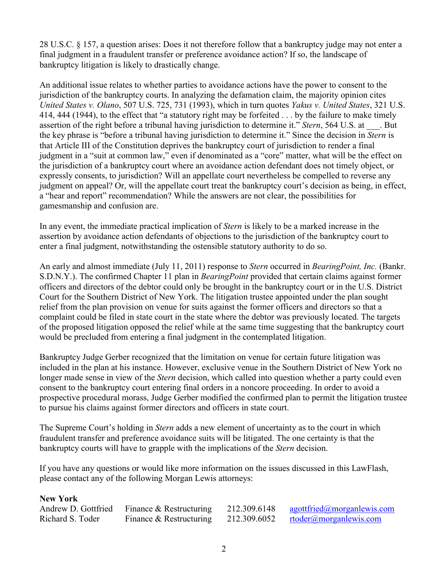28 U.S.C. § 157, a question arises: Does it not therefore follow that a bankruptcy judge may not enter a final judgment in a fraudulent transfer or preference avoidance action? If so, the landscape of bankruptcy litigation is likely to drastically change.

An additional issue relates to whether parties to avoidance actions have the power to consent to the jurisdiction of the bankruptcy courts. In analyzing the defamation claim, the majority opinion cites *United States v. Olano*, 507 U.S. 725, 731 (1993), which in turn quotes *Yakus v. United States*, 321 U.S. 414, 444 (1944), to the effect that "a statutory right may be forfeited . . . by the failure to make timely assertion of the right before a tribunal having jurisdiction to determine it." *Stern*, 564 U.S. at ... But the key phrase is "before a tribunal having jurisdiction to determine it." Since the decision in *Stern* is that Article III of the Constitution deprives the bankruptcy court of jurisdiction to render a final judgment in a "suit at common law," even if denominated as a "core" matter, what will be the effect on the jurisdiction of a bankruptcy court where an avoidance action defendant does not timely object, or expressly consents, to jurisdiction? Will an appellate court nevertheless be compelled to reverse any judgment on appeal? Or, will the appellate court treat the bankruptcy court's decision as being, in effect, a "hear and report" recommendation? While the answers are not clear, the possibilities for gamesmanship and confusion are.

In any event, the immediate practical implication of *Stern* is likely to be a marked increase in the assertion by avoidance action defendants of objections to the jurisdiction of the bankruptcy court to enter a final judgment, notwithstanding the ostensible statutory authority to do so.

An early and almost immediate (July 11, 2011) response to *Stern* occurred in *BearingPoint, Inc.* (Bankr. S.D.N.Y.). The confirmed Chapter 11 plan in *BearingPoint* provided that certain claims against former officers and directors of the debtor could only be brought in the bankruptcy court or in the U.S. District Court for the Southern District of New York. The litigation trustee appointed under the plan sought relief from the plan provision on venue for suits against the former officers and directors so that a complaint could be filed in state court in the state where the debtor was previously located. The targets of the proposed litigation opposed the relief while at the same time suggesting that the bankruptcy court would be precluded from entering a final judgment in the contemplated litigation.

Bankruptcy Judge Gerber recognized that the limitation on venue for certain future litigation was included in the plan at his instance. However, exclusive venue in the Southern District of New York no longer made sense in view of the *Stern* decision, which called into question whether a party could even consent to the bankruptcy court entering final orders in a noncore proceeding. In order to avoid a prospective procedural morass, Judge Gerber modified the confirmed plan to permit the litigation trustee to pursue his claims against former directors and officers in state court.

The Supreme Court's holding in *Stern* adds a new element of uncertainty as to the court in which fraudulent transfer and preference avoidance suits will be litigated. The one certainty is that the bankruptcy courts will have to grapple with the implications of the *Stern* decision.

If you have any questions or would like more information on the issues discussed in this LawFlash, please contact any of the following Morgan Lewis attorneys:

#### **New York**

| Andrew D. Gottfried | Finance $&$ Restructuring | 212.309.6148 | agottfried@morganlewis.com        |
|---------------------|---------------------------|--------------|-----------------------------------|
| Richard S. Toder    | Finance & Restructuring   | 212.309.6052 | $rtoder(\omega)$ morganizewis.com |